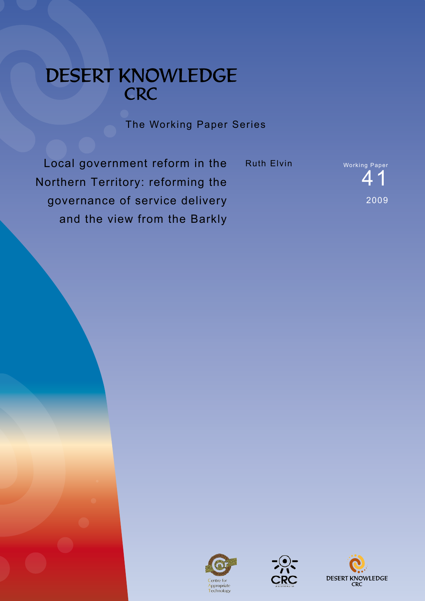# DESERT KNOWLEDGE CRC

The Working Paper Series

Local government reform in the Northern Territory: reforming the governance of service delivery and the view from the Barkly

Ruth Elvin Working Paper





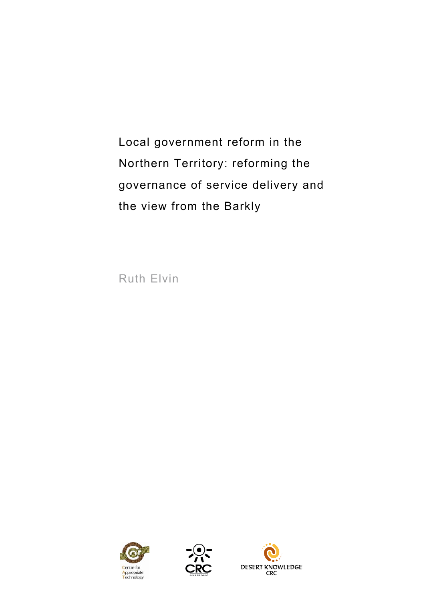Local government reform in the Northern Territory: reforming the governance of service delivery and the view from the Barkly

Ruth Elvin





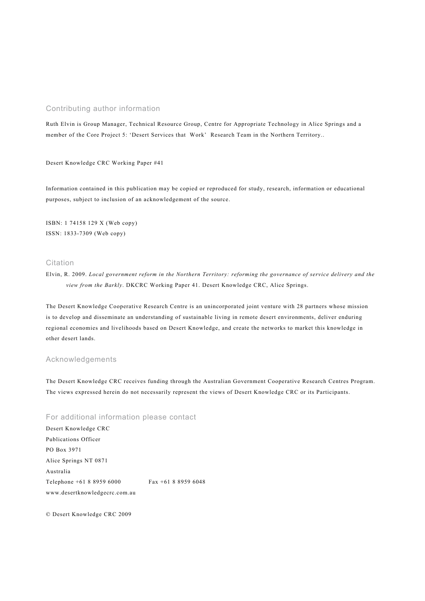#### Contributing author information

Ruth Elvin is Group Manager, Technical Resource Group, Centre for Appropriate Technology in Alice Springs and a member of the Core Project 5: 'Desert Services that Work' Research Team in the Northern Territory..

Desert Knowledge CRC Working Paper #41

Information contained in this publication may be copied or reproduced for study, research, information or educational purposes, subject to inclusion of an acknowledgement of the source.

ISBN: 1 74158 129 X (Web copy) ISSN: 1833-7309 (Web copy)

#### Citation

Elvin, R. 2009. *Local government reform in the Northern Territory: reforming the governance of service delivery and the view from the Barkly*. DKCRC Working Paper 41. Desert Knowledge CRC, Alice Springs.

The Desert Knowledge Cooperative Research Centre is an unincorporated joint venture with 28 partners whose mission is to develop and disseminate an understanding of sustainable living in remote desert environments, deliver enduring regional economies and livelihoods based on Desert Knowledge, and create the networks to market this knowledge in other desert lands.

#### Acknowledgements

The Desert Knowledge CRC receives funding through the Australian Government Cooperative Research Centres Program. The views expressed herein do not necessarily represent the views of Desert Knowledge CRC or its Participants.

#### For additional information please contact

Desert Knowledge CRC Publications Officer PO Box 3971 Alice Springs NT 0871 Australia Telephone +61 8 8959 6000 Fax +61 8 8959 6048 www.desertknowledgecrc.com.au

© Desert Knowledge CRC 2009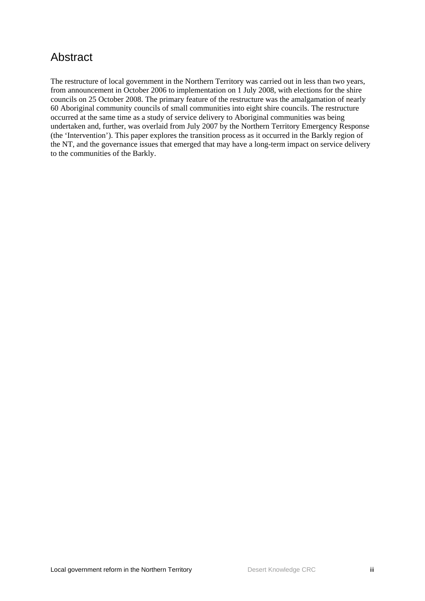## <span id="page-4-0"></span>Abstract

The restructure of local government in the Northern Territory was carried out in less than two years, from announcement in October 2006 to implementation on 1 July 2008, with elections for the shire councils on 25 October 2008. The primary feature of the restructure was the amalgamation of nearly 60 Aboriginal community councils of small communities into eight shire councils. The restructure occurred at the same time as a study of service delivery to Aboriginal communities was being undertaken and, further, was overlaid from July 2007 by the Northern Territory Emergency Response (the 'Intervention'). This paper explores the transition process as it occurred in the Barkly region of the NT, and the governance issues that emerged that may have a long-term impact on service delivery to the communities of the Barkly.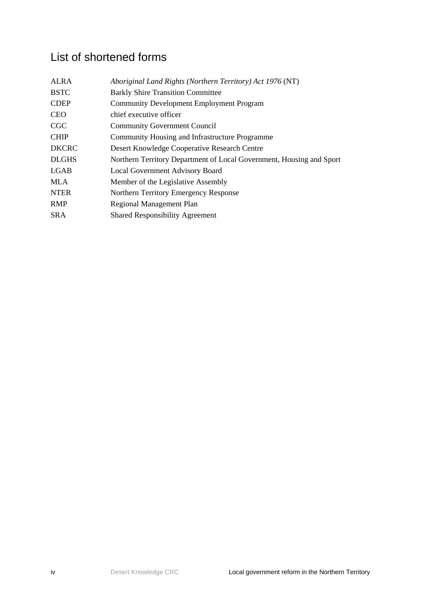## <span id="page-5-0"></span>List of shortened forms

| <b>ALRA</b>  | Aboriginal Land Rights (Northern Territory) Act 1976 (NT)            |  |
|--------------|----------------------------------------------------------------------|--|
| <b>BSTC</b>  | <b>Barkly Shire Transition Committee</b>                             |  |
| <b>CDEP</b>  | <b>Community Development Employment Program</b>                      |  |
| <b>CEO</b>   | chief executive officer                                              |  |
| <b>CGC</b>   | <b>Community Government Council</b>                                  |  |
| <b>CHIP</b>  | Community Housing and Infrastructure Programme                       |  |
| <b>DKCRC</b> | Desert Knowledge Cooperative Research Centre                         |  |
| <b>DLGHS</b> | Northern Territory Department of Local Government, Housing and Sport |  |
| LGAB         | <b>Local Government Advisory Board</b>                               |  |
| <b>MLA</b>   | Member of the Legislative Assembly                                   |  |
| <b>NTER</b>  | Northern Territory Emergency Response                                |  |
| <b>RMP</b>   | Regional Management Plan                                             |  |
| <b>SRA</b>   | <b>Shared Responsibility Agreement</b>                               |  |
|              |                                                                      |  |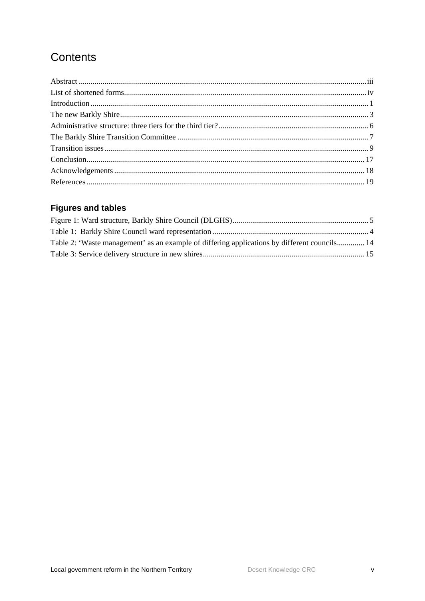## Contents

### **Figures and tables**

| Table 2: 'Waste management' as an example of differing applications by different councils 14 |  |
|----------------------------------------------------------------------------------------------|--|
|                                                                                              |  |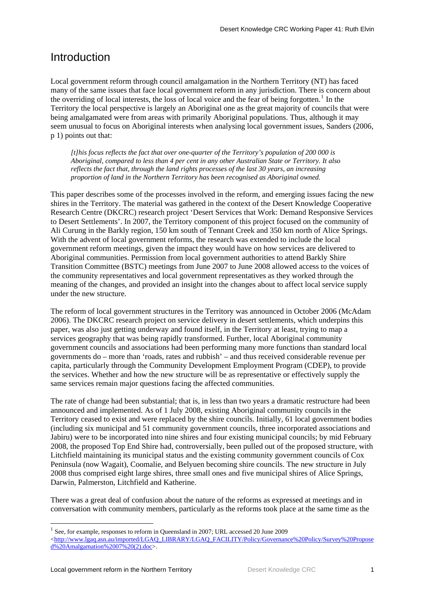### <span id="page-8-0"></span>Introduction

Local government reform through council amalgamation in the Northern Territory (NT) has faced many of the same issues that face local government reform in any jurisdiction. There is concern about the overriding of local interests, the loss of local voice and the fear of being forgotten.<sup>[1](#page-8-1)</sup> In the Territory the local perspective is largely an Aboriginal one as the great majority of councils that were being amalgamated were from areas with primarily Aboriginal populations. Thus, although it may seem unusual to focus on Aboriginal interests when analysing local government issues, Sanders (2006, p 1) points out that:

*[t]his focus reflects the fact that over one-quarter of the Territory's population of 200 000 is Aboriginal, compared to less than 4 per cent in any other Australian State or Territory. It also reflects the fact that, through the land rights processes of the last 30 years, an increasing proportion of land in the Northern Territory has been recognised as Aboriginal owned.* 

This paper describes some of the processes involved in the reform, and emerging issues facing the new shires in the Territory. The material was gathered in the context of the Desert Knowledge Cooperative Research Centre (DKCRC) research project 'Desert Services that Work: Demand Responsive Services to Desert Settlements'. In 2007, the Territory component of this project focused on the community of Ali Curung in the Barkly region, 150 km south of Tennant Creek and 350 km north of Alice Springs. With the advent of local government reforms, the research was extended to include the local government reform meetings, given the impact they would have on how services are delivered to Aboriginal communities. Permission from local government authorities to attend Barkly Shire Transition Committee (BSTC) meetings from June 2007 to June 2008 allowed access to the voices of the community representatives and local government representatives as they worked through the meaning of the changes, and provided an insight into the changes about to affect local service supply under the new structure.

The reform of local government structures in the Territory was announced in October 2006 (McAdam 2006). The DKCRC research project on service delivery in desert settlements, which underpins this paper, was also just getting underway and found itself, in the Territory at least, trying to map a services geography that was being rapidly transformed. Further, local Aboriginal community government councils and associations had been performing many more functions than standard local governments do – more than 'roads, rates and rubbish' – and thus received considerable revenue per capita, particularly through the Community Development Employment Program (CDEP), to provide the services. Whether and how the new structure will be as representative or effectively supply the same services remain major questions facing the affected communities.

The rate of change had been substantial; that is, in less than two years a dramatic restructure had been announced and implemented. As of 1 July 2008, existing Aboriginal community councils in the Territory ceased to exist and were replaced by the shire councils. Initially, 61 local government bodies (including six municipal and 51 community government councils, three incorporated associations and Jabiru) were to be incorporated into nine shires and four existing municipal councils; by mid February 2008, the proposed Top End Shire had, controversially, been pulled out of the proposed structure, with Litchfield maintaining its municipal status and the existing community government councils of Cox Peninsula (now Wagait), Coomalie, and Belyuen becoming shire councils. The new structure in July 2008 thus comprised eight large shires, three small ones and five municipal shires of Alice Springs, Darwin, Palmerston, Litchfield and Katherine.

There was a great deal of confusion about the nature of the reforms as expressed at meetings and in conversation with community members, particularly as the reforms took place at the same time as the

<span id="page-8-1"></span> $1$  See, for example, responses to reform in Queensland in 2007; URL accessed 20 June 2009

<sup>&</sup>lt;[http://www.lgaq.asn.au/imported/LGAQ\\_LIBRARY/LGAQ\\_FACILITY/Policy/Governance%20Policy/Survey%20Propose](http://www.lgaq.asn.au/imported/LGAQ_LIBRARY/LGAQ_FACILITY/Policy/Governance%20Policy/Survey%20Proposed%20Amalgamation%2007%20%20(2).doc) [d%20Amalgamation%2007%20\(2\).doc](http://www.lgaq.asn.au/imported/LGAQ_LIBRARY/LGAQ_FACILITY/Policy/Governance%20Policy/Survey%20Proposed%20Amalgamation%2007%20%20(2).doc)>.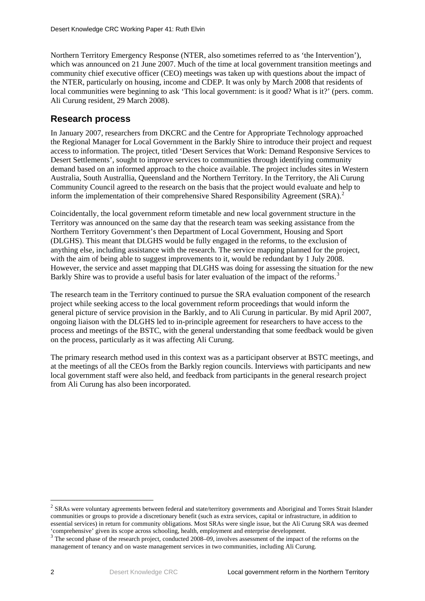Northern Territory Emergency Response (NTER, also sometimes referred to as 'the Intervention'), which was announced on 21 June 2007. Much of the time at local government transition meetings and community chief executive officer (CEO) meetings was taken up with questions about the impact of the NTER, particularly on housing, income and CDEP. It was only by March 2008 that residents of local communities were beginning to ask 'This local government: is it good? What is it?' (pers. comm. Ali Curung resident, 29 March 2008).

#### **Research process**

In January 2007, researchers from DKCRC and the Centre for Appropriate Technology approached the Regional Manager for Local Government in the Barkly Shire to introduce their project and request access to information. The project, titled 'Desert Services that Work: Demand Responsive Services to Desert Settlements', sought to improve services to communities through identifying community demand based on an informed approach to the choice available. The project includes sites in Western Australia, South Australlia, Queensland and the Northern Territory. In the Territory, the Ali Curung Community Council agreed to the research on the basis that the project would evaluate and help to inform the implementation of their comprehensive Shared Responsibility Agreement  $(SRA)$ .<sup>[2](#page-9-0)</sup>

Coincidentally, the local government reform timetable and new local government structure in the Territory was announced on the same day that the research team was seeking assistance from the Northern Territory Government's then Department of Local Government, Housing and Sport (DLGHS). This meant that DLGHS would be fully engaged in the reforms, to the exclusion of anything else, including assistance with the research. The service mapping planned for the project, with the aim of being able to suggest improvements to it, would be redundant by 1 July 2008. However, the service and asset mapping that DLGHS was doing for assessing the situation for the new Barkly Shire was to provide a useful basis for later evaluation of the impact of the reforms.<sup>[3](#page-9-1)</sup>

The research team in the Territory continued to pursue the SRA evaluation component of the research project while seeking access to the local government reform proceedings that would inform the general picture of service provision in the Barkly, and to Ali Curung in particular. By mid April 2007, ongoing liaison with the DLGHS led to in-principle agreement for researchers to have access to the process and meetings of the BSTC, with the general understanding that some feedback would be given on the process, particularly as it was affecting Ali Curung.

The primary research method used in this context was as a participant observer at BSTC meetings, and at the meetings of all the CEOs from the Barkly region councils. Interviews with participants and new local government staff were also held, and feedback from participants in the general research project from Ali Curung has also been incorporated.

<span id="page-9-0"></span><sup>&</sup>lt;sup>2</sup> SRAs were voluntary agreements between federal and state/territory governments and Aboriginal and Torres Strait Islander communities or groups to provide a discretionary benefit (such as extra services, capital or infrastructure, in addition to essential services) in return for community obligations. Most SRAs were single issue, but the Ali Curung SRA was deemed

<span id="page-9-1"></span><sup>&#</sup>x27;comprehensive' given its scope across schooling, health, employment and enterprise development. 3 The second phase of the research project, conducted 2008–09, involves assessment of the impact of the reforms on the management of tenancy and on waste management services in two communities, including Ali Curung.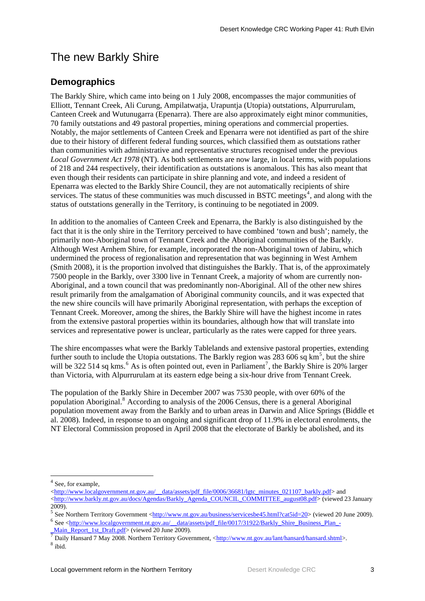## <span id="page-10-0"></span>The new Barkly Shire

### **Demographics**

The Barkly Shire, which came into being on 1 July 2008, encompasses the major communities of Elliott, Tennant Creek, Ali Curung, Ampilatwatja, Urapuntja (Utopia) outstations, Alpurrurulam, Canteen Creek and Wutunugarra (Epenarra). There are also approximately eight minor communities, 70 family outstations and 49 pastoral properties, mining operations and commercial properties. Notably, the major settlements of Canteen Creek and Epenarra were not identified as part of the shire due to their history of different federal funding sources, which classified them as outstations rather than communities with administrative and representative structures recognised under the previous *Local Government Act 1978* (NT). As both settlements are now large, in local terms, with populations of 218 and 244 respectively, their identification as outstations is anomalous. This has also meant that even though their residents can participate in shire planning and vote, and indeed a resident of Epenarra was elected to the Barkly Shire Council, they are not automatically recipients of shire services. The status of these communities was much discussed in BSTC meetings<sup>[4](#page-10-1)</sup>, and along with the status of outstations generally in the Territory, is continuing to be negotiated in 2009.

In addition to the anomalies of Canteen Creek and Epenarra, the Barkly is also distinguished by the fact that it is the only shire in the Territory perceived to have combined 'town and bush'; namely, the primarily non-Aboriginal town of Tennant Creek and the Aboriginal communities of the Barkly. Although West Arnhem Shire, for example, incorporated the non-Aboriginal town of Jabiru, which undermined the process of regionalisation and representation that was beginning in West Arnhem (Smith 2008), it is the proportion involved that distinguishes the Barkly. That is, of the approximately 7500 people in the Barkly, over 3300 live in Tennant Creek, a majority of whom are currently non-Aboriginal, and a town council that was predominantly non-Aboriginal. All of the other new shires result primarily from the amalgamation of Aboriginal community councils, and it was expected that the new shire councils will have primarily Aboriginal representation, with perhaps the exception of Tennant Creek. Moreover, among the shires, the Barkly Shire will have the highest income in rates from the extensive pastoral properties within its boundaries, although how that will translate into services and representative power is unclear, particularly as the rates were capped for three years.

The shire encompasses what were the Barkly Tablelands and extensive pastoral properties, extending further south to include the Utopia outstations. The Barkly region was  $283\,606$  sq km<sup>[5](#page-10-2)</sup>, but the shire will be 322 514 sq kms.<sup>[6](#page-10-3)</sup> As is often pointed out, even in Parliament<sup>[7](#page-10-4)</sup>, the Barkly Shire is 20% larger than Victoria, with Alpurrurulam at its eastern edge being a six-hour drive from Tennant Creek.

The population of the Barkly Shire in December 2007 was 7530 people, with over 60% of the population Aboriginal.<sup>[8](#page-10-5)</sup> According to analysis of the 2006 Census, there is a general Aboriginal population movement away from the Barkly and to urban areas in Darwin and Alice Springs (Biddle et al. 2008). Indeed, in response to an ongoing and significant drop of 11.9% in electoral enrolments, the NT Electoral Commission proposed in April 2008 that the electorate of Barkly be abolished, and its

<span id="page-10-1"></span><sup>&</sup>lt;sup>4</sup> See, for example,

<sup>&</sup>lt;[http://www.localgovernment.nt.gov.au/\\_\\_data/assets/pdf\\_file/0006/36681/lgtc\\_minutes\\_021107\\_barkly.pdf](http://www.localgovernment.nt.gov.au/__data/assets/pdf_file/0006/36681/lgtc_minutes_021107_barkly.pdf)> and <[http://www.barkly.nt.gov.au/docs/Agendas/Barkly\\_Agenda\\_COUNCIL\\_COMMITTEE\\_august08.pdf](http://www.barkly.nt.gov.au/docs/Agendas/Barkly_Agenda_COUNCIL_COMMITTEE_august08.pdf)> (viewed 23 January 2009).

<span id="page-10-3"></span><span id="page-10-2"></span><sup>&</sup>lt;sup>5</sup> See Northern Territory Government < $\frac{http://www.nt.gov.au/busines/servicesbe45.html?cat5id=20>$  (viewed 20 June 2009). <sup>6</sup> See <[http://www.localgovernment.nt.gov.au/\\_\\_data/assets/pdf\\_file/0017/31922/Barkly\\_Shire\\_Business\\_Plan\\_-](http://www.localgovernment.nt.gov.au/__data/assets/pdf_file/0017/31922/Barkly_Shire_Business_Plan_-_Main_Report_1st_Draft.pdf)

<span id="page-10-5"></span><span id="page-10-4"></span> $\frac{Mam\_loop.135\_Dam.open}{\hbar}$  (viewed 20 June 2008). Northern Territory Government,  $\langle \frac{\hbar \omega}{\hbar} \rangle/mww.$ nt.gov.au/lant/hansard/hansard.shtml $\rangle$ .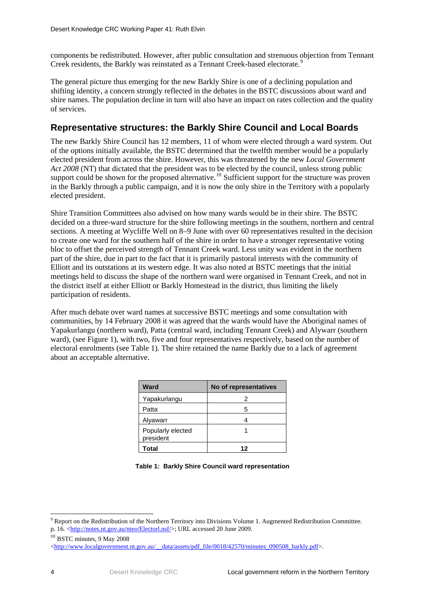<span id="page-11-0"></span>components be redistributed. However, after public consultation and strenuous objection from Tennant Creek residents, the Barkly was reinstated as a Tennant Creek-based electorate.<sup>[9](#page-11-1)</sup>

The general picture thus emerging for the new Barkly Shire is one of a declining population and shifting identity, a concern strongly reflected in the debates in the BSTC discussions about ward and shire names. The population decline in turn will also have an impact on rates collection and the quality of services.

### **Representative structures: the Barkly Shire Council and Local Boards**

The new Barkly Shire Council has 12 members, 11 of whom were elected through a ward system. Out of the options initially available, the BSTC determined that the twelfth member would be a popularly elected president from across the shire. However, this was threatened by the new *Local Government Act 2008* (NT) that dictated that the president was to be elected by the council, unless strong public support could be shown for the proposed alternative.<sup>[10](#page-11-2)</sup> Sufficient support for the structure was proven in the Barkly through a public campaign, and it is now the only shire in the Territory with a popularly elected president.

Shire Transition Committees also advised on how many wards would be in their shire. The BSTC decided on a three-ward structure for the shire following meetings in the southern, northern and central sections. A meeting at Wycliffe Well on 8–9 June with over 60 representatives resulted in the decision to create one ward for the southern half of the shire in order to have a stronger representative voting bloc to offset the perceived strength of Tennant Creek ward. Less unity was evident in the northern part of the shire, due in part to the fact that it is primarily pastoral interests with the community of Elliott and its outstations at its western edge. It was also noted at BSTC meetings that the initial meetings held to discuss the shape of the northern ward were organised in Tennant Creek, and not in the district itself at either Elliott or Barkly Homestead in the district, thus limiting the likely participation of residents.

After much debate over ward names at successive BSTC meetings and some consultation with communities, by 14 February 2008 it was agreed that the wards would have the Aboriginal names of Yapakurlangu (northern ward), Patta (central ward, including Tennant Creek) and Alywarr (southern ward), (see Figure 1), with two, five and four representatives respectively, based on the number of electoral enrolments (see Table 1). The shire retained the name Barkly due to a lack of agreement about an acceptable alternative.

| Ward                           | No of representatives |  |
|--------------------------------|-----------------------|--|
| Yapakurlangu                   | 2                     |  |
| Patta                          | 5                     |  |
| Alyawarr                       |                       |  |
| Popularly elected<br>president |                       |  |
| Total                          | 12                    |  |

|  |  |  | Table 1: Barkly Shire Council ward representation |
|--|--|--|---------------------------------------------------|
|--|--|--|---------------------------------------------------|

<span id="page-11-1"></span><sup>&</sup>lt;u>.</u> <sup>9</sup> Report on the Redistribution of the Northern Territory into Divisions Volume 1. Augmented Redistribution Committee. p. 16. <[http://notes.nt.gov.au/nteo/Electorl.nsf/>](http://notes.nt.gov.au/nteo/Electorl.nsf/); URL accessed 20 June 2009.

<sup>&</sup>lt;sup>10</sup> BSTC minutes, 9 May 2008

<span id="page-11-2"></span> $\langle$ [http://www.localgovernment.nt.gov.au/\\_\\_data/assets/pdf\\_file/0018/42570/minutes\\_090508\\_barkly.pdf](http://www.localgovernment.nt.gov.au/__data/assets/pdf_file/0018/42570/minutes_090508_barkly.pdf)>.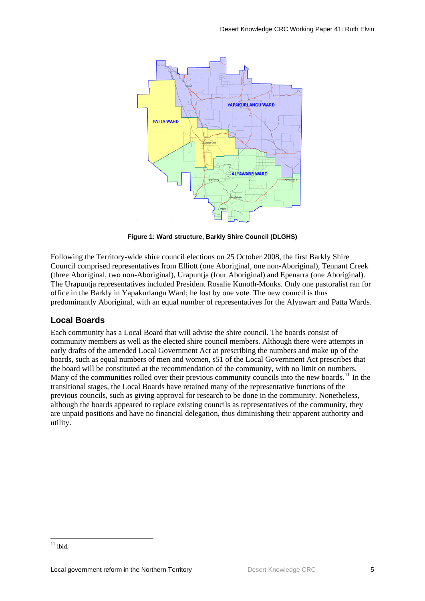<span id="page-12-0"></span>

**Figure 1: Ward structure, Barkly Shire Council (DLGHS)** 

Following the Territory-wide shire council elections on 25 October 2008, the first Barkly Shire Council comprised representatives from Elliott (one Aboriginal, one non-Aboriginal), Tennant Creek (three Aboriginal, two non-Aboriginal), Urapuntja (four Aboriginal) and Epenarra (one Aboriginal). The Urapuntja representatives included President Rosalie Kunoth-Monks. Only one pastoralist ran for office in the Barkly in Yapakurlangu Ward; he lost by one vote. The new council is thus predominantly Aboriginal, with an equal number of representatives for the Alyawarr and Patta Wards.

#### **Local Boards**

Each community has a Local Board that will advise the shire council. The boards consist of community members as well as the elected shire council members. Although there were attempts in early drafts of the amended Local Government Act at prescribing the numbers and make up of the boards, such as equal numbers of men and women, s51 of the Local Government Act prescribes that the board will be constituted at the recommendation of the community, with no limit on numbers. Many of the communities rolled over their previous community councils into the new boards.<sup>[11](#page-12-1)</sup> In the transitional stages, the Local Boards have retained many of the representative functions of the previous councils, such as giving approval for research to be done in the community. Nonetheless, although the boards appeared to replace existing councils as representatives of the community, they are unpaid positions and have no financial delegation, thus diminishing their apparent authority and utility.

<span id="page-12-1"></span><sup>1</sup>  $11$  ibid.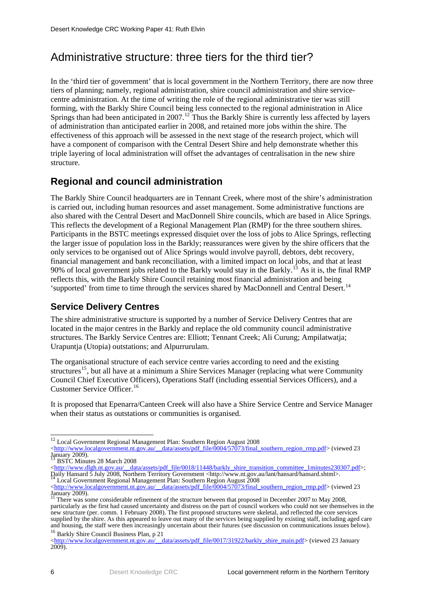## <span id="page-13-0"></span>Administrative structure: three tiers for the third tier?

In the 'third tier of government' that is local government in the Northern Territory, there are now three tiers of planning; namely, regional administration, shire council administration and shire servicecentre administration. At the time of writing the role of the regional administrative tier was still forming, with the Barkly Shire Council being less connected to the regional administration in Alice Springs than had been anticipated in 2007.<sup>[12](#page-13-1)</sup> Thus the Barkly Shire is currently less affected by layers of administration than anticipated earlier in 2008, and retained more jobs within the shire. The effectiveness of this approach will be assessed in the next stage of the research project, which will have a component of comparison with the Central Desert Shire and help demonstrate whether this triple layering of local administration will offset the advantages of centralisation in the new shire structure.

### **Regional and council administration**

The Barkly Shire Council headquarters are in Tennant Creek, where most of the shire's administration is carried out, including human resources and asset management. Some administrative functions are also shared with the Central Desert and MacDonnell Shire councils, which are based in Alice Springs. This reflects the development of a Regional Management Plan (RMP) for the three southern shires. Participants in the BSTC meetings expressed disquiet over the loss of jobs to Alice Springs, reflecting the larger issue of population loss in the Barkly; reassurances were given by the shire officers that the only services to be organised out of Alice Springs would involve payroll, debtors, debt recovery, financial management and bank reconciliation, with a limited impact on local jobs, and that at least 90% of local government jobs related to the Barkly would stay in the Barkly.<sup>[13](#page-13-2)</sup> As it is, the final RMP reflects this, with the Barkly Shire Council retaining most financial administration and being 'supported' from time to time through the services shared by MacDonnell and Central Desert.<sup>[14](#page-13-3)</sup>

### **Service Delivery Centres**

The shire administrative structure is supported by a number of Service Delivery Centres that are located in the major centres in the Barkly and replace the old community council administrative structures. The Barkly Service Centres are: Elliott; Tennant Creek; Ali Curung; Ampilatwatja; Urapuntja (Utopia) outstations; and Alpurrurulam.

The organisational structure of each service centre varies according to need and the existing structures<sup>[15](#page-13-4)</sup>, but all have at a minimum a Shire Services Manager (replacing what were Community Council Chief Executive Officers), Operations Staff (including essential Services Officers), and a Customer Service Officer.<sup>[16](#page-13-5)</sup>

It is proposed that Epenarra/Canteen Creek will also have a Shire Service Centre and Service Manager when their status as outstations or communities is organised.

<span id="page-13-2"></span><sup>13</sup> BSTC Minutes 28 March 2008

<[http://www.dlgh.nt.gov.au/\\_\\_data/assets/pdf\\_file/0018/11448/barkly\\_shire\\_transition\\_committee\\_1minutes230307.pdf>](http://www.dlgh.nt.gov.au/__data/assets/pdf_file/0018/11448/barkly_shire_transition_committee_1minutes230307.pdf); Daily Hansard 5 July 2008, Northern Territory Government <http://www.nt.gov.au/lant/hansard/hansard.shtml>.<br>
14 Local Government Regional Management Plan: Southern Region August 2008

 $\overline{a}$ <sup>12</sup> Local Government Regional Management Plan: Southern Region August 2008

<span id="page-13-1"></span><sup>&</sup>lt;[http://www.localgovernment.nt.gov.au/\\_\\_data/assets/pdf\\_file/0004/57073/final\\_southern\\_region\\_rmp.pdf](http://www.localgovernment.nt.gov.au/__data/assets/pdf_file/0004/57073/final_southern_region_rmp.pdf)> (viewed 23 January 2009).

<span id="page-13-3"></span><sup>&</sup>lt;[http://www.localgovernment.nt.gov.au/\\_\\_data/assets/pdf\\_file/0004/57073/final\\_southern\\_region\\_rmp.pdf](http://www.localgovernment.nt.gov.au/__data/assets/pdf_file/0004/57073/final_southern_region_rmp.pdf)> (viewed 23 January 2009). 15 There was some considerable refinement of the structure between that proposed in December 2007 to May 2008,

<span id="page-13-4"></span>particularly as the first had caused uncertainty and distress on the part of council workers who could not see themselves in the new structure (per. comm. 1 February 2008). The first proposed structures were skeletal, and reflected the core services supplied by the shire. As this appeared to leave out many of the services being supplied by existing staff, including aged care and housing, the staff were then increasingly uncertain about their futures (see discussion on communications issues below).<br><sup>16</sup> Barkly Shire Council Business Plan, p 21

<span id="page-13-5"></span><sup>&</sup>lt;[http://www.localgovernment.nt.gov.au/\\_\\_data/assets/pdf\\_file/0017/31922/barkly\\_shire\\_main.pdf](http://www.localgovernment.nt.gov.au/__data/assets/pdf_file/0017/31922/barkly_shire_main.pdf)> (viewed 23 January 2009).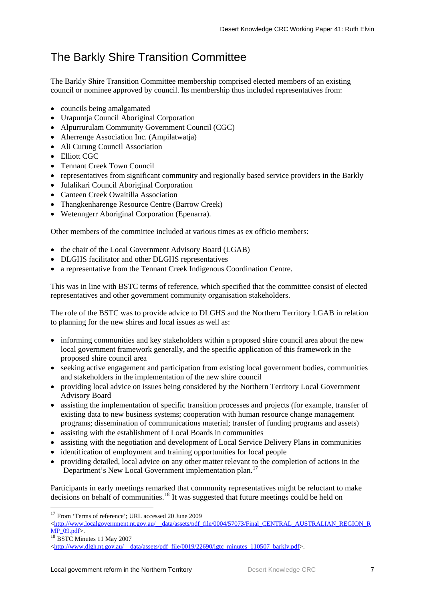## <span id="page-14-0"></span>The Barkly Shire Transition Committee

The Barkly Shire Transition Committee membership comprised elected members of an existing council or nominee approved by council. Its membership thus included representatives from:

- councils being amalgamated
- Urapuntia Council Aboriginal Corporation
- Alpurrurulam Community Government Council (CGC)
- Aherrenge Association Inc. (Ampilatwatja)
- Ali Curung Council Association
- Elliott CGC
- Tennant Creek Town Council
- representatives from significant community and regionally based service providers in the Barkly
- Julalikari Council Aboriginal Corporation
- Canteen Creek Owaitilla Association
- Thangkenharenge Resource Centre (Barrow Creek)
- Wetenngerr Aboriginal Corporation (Epenarra).

Other members of the committee included at various times as ex officio members:

- the chair of the Local Government Advisory Board (LGAB)
- DLGHS facilitator and other DLGHS representatives
- a representative from the Tennant Creek Indigenous Coordination Centre.

This was in line with BSTC terms of reference, which specified that the committee consist of elected representatives and other government community organisation stakeholders.

The role of the BSTC was to provide advice to DLGHS and the Northern Territory LGAB in relation to planning for the new shires and local issues as well as:

- informing communities and key stakeholders within a proposed shire council area about the new local government framework generally, and the specific application of this framework in the proposed shire council area
- seeking active engagement and participation from existing local government bodies, communities and stakeholders in the implementation of the new shire council
- providing local advice on issues being considered by the Northern Territory Local Government Advisory Board
- assisting the implementation of specific transition processes and projects (for example, transfer of existing data to new business systems; cooperation with human resource change management programs; dissemination of communications material; transfer of funding programs and assets)
- assisting with the establishment of Local Boards in communities
- assisting with the negotiation and development of Local Service Delivery Plans in communities
- identification of employment and training opportunities for local people
- providing detailed, local advice on any other matter relevant to the completion of actions in the Department's New Local Government implementation plan.<sup>[17](#page-14-1)</sup>

Participants in early meetings remarked that community representatives might be reluctant to make decisions on behalf of communities.[18](#page-14-2) It was suggested that future meetings could be held on

<span id="page-14-2"></span>

<span id="page-14-1"></span><sup>&</sup>lt;sup>17</sup> From 'Terms of reference'; URL accessed 20 June 2009

 $\lt$ [http://www.localgovernment.nt.gov.au/\\_\\_data/assets/pdf\\_file/0004/57073/Final\\_CENTRAL\\_AUSTRALIAN\\_REGION\\_R](http://www.localgovernment.nt.gov.au/__data/assets/pdf_file/0004/57073/Final_CENTRAL_AUSTRALIAN_REGION_RMP_09.pdf)  $\frac{\text{MP }_09. \text{pdf}}{\text{18} \text{ BSTC}$  Minutes 11 May 2007

 $\text{thtn://www.dleh.net.gov.au/}{\text{data/assets/pdf}}$  file/0019/22690/lgtc\_minutes\_110507\_barkly.pdf>.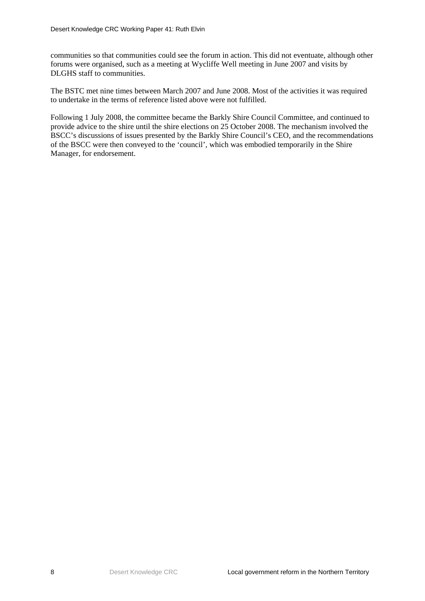communities so that communities could see the forum in action. This did not eventuate, although other forums were organised, such as a meeting at Wycliffe Well meeting in June 2007 and visits by DLGHS staff to communities.

The BSTC met nine times between March 2007 and June 2008. Most of the activities it was required to undertake in the terms of reference listed above were not fulfilled.

Following 1 July 2008, the committee became the Barkly Shire Council Committee, and continued to provide advice to the shire until the shire elections on 25 October 2008. The mechanism involved the BSCC's discussions of issues presented by the Barkly Shire Council's CEO, and the recommendations of the BSCC were then conveyed to the 'council', which was embodied temporarily in the Shire Manager, for endorsement.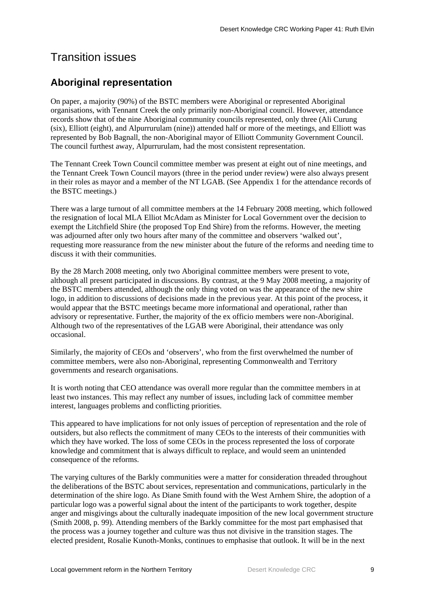### <span id="page-16-0"></span>Transition issues

### **Aboriginal representation**

On paper, a majority (90%) of the BSTC members were Aboriginal or represented Aboriginal organisations, with Tennant Creek the only primarily non-Aboriginal council. However, attendance records show that of the nine Aboriginal community councils represented, only three (Ali Curung (six), Elliott (eight), and Alpurrurulam (nine)) attended half or more of the meetings, and Elliott was represented by Bob Bagnall, the non-Aboriginal mayor of Elliott Community Government Council. The council furthest away, Alpurrurulam, had the most consistent representation.

The Tennant Creek Town Council committee member was present at eight out of nine meetings, and the Tennant Creek Town Council mayors (three in the period under review) were also always present in their roles as mayor and a member of the NT LGAB. (See Appendix 1 for the attendance records of the BSTC meetings.)

There was a large turnout of all committee members at the 14 February 2008 meeting, which followed the resignation of local MLA Elliot McAdam as Minister for Local Government over the decision to exempt the Litchfield Shire (the proposed Top End Shire) from the reforms. However, the meeting was adjourned after only two hours after many of the committee and observers 'walked out', requesting more reassurance from the new minister about the future of the reforms and needing time to discuss it with their communities.

By the 28 March 2008 meeting, only two Aboriginal committee members were present to vote, although all present participated in discussions. By contrast, at the 9 May 2008 meeting, a majority of the BSTC members attended, although the only thing voted on was the appearance of the new shire logo, in addition to discussions of decisions made in the previous year. At this point of the process, it would appear that the BSTC meetings became more informational and operational, rather than advisory or representative. Further, the majority of the ex officio members were non-Aboriginal. Although two of the representatives of the LGAB were Aboriginal, their attendance was only occasional.

Similarly, the majority of CEOs and 'observers', who from the first overwhelmed the number of committee members, were also non-Aboriginal, representing Commonwealth and Territory governments and research organisations.

It is worth noting that CEO attendance was overall more regular than the committee members in at least two instances. This may reflect any number of issues, including lack of committee member interest, languages problems and conflicting priorities.

This appeared to have implications for not only issues of perception of representation and the role of outsiders, but also reflects the commitment of many CEOs to the interests of their communities with which they have worked. The loss of some CEOs in the process represented the loss of corporate knowledge and commitment that is always difficult to replace, and would seem an unintended consequence of the reforms.

The varying cultures of the Barkly communities were a matter for consideration threaded throughout the deliberations of the BSTC about services, representation and communications, particularly in the determination of the shire logo. As Diane Smith found with the West Arnhem Shire, the adoption of a particular logo was a powerful signal about the intent of the participants to work together, despite anger and misgivings about the culturally inadequate imposition of the new local government structure (Smith 2008, p. 99). Attending members of the Barkly committee for the most part emphasised that the process was a journey together and culture was thus not divisive in the transition stages. The elected president, Rosalie Kunoth-Monks, continues to emphasise that outlook. It will be in the next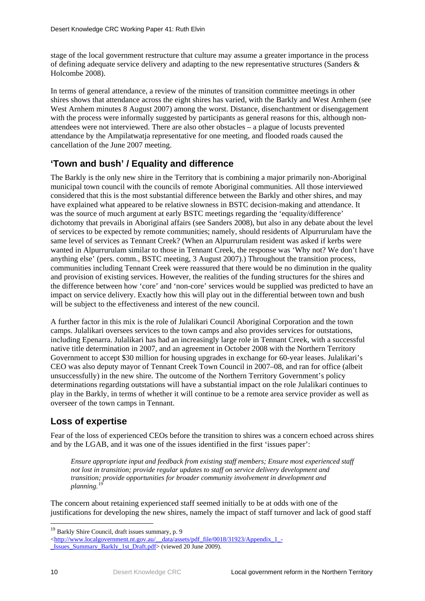stage of the local government restructure that culture may assume a greater importance in the process of defining adequate service delivery and adapting to the new representative structures (Sanders & Holcombe 2008).

In terms of general attendance, a review of the minutes of transition committee meetings in other shires shows that attendance across the eight shires has varied, with the Barkly and West Arnhem (see West Arnhem minutes 8 August 2007) among the worst. Distance, disenchantment or disengagement with the process were informally suggested by participants as general reasons for this, although nonattendees were not interviewed. There are also other obstacles – a plague of locusts prevented attendance by the Ampilatwatja representative for one meeting, and flooded roads caused the cancellation of the June 2007 meeting.

### **'Town and bush' / Equality and difference**

The Barkly is the only new shire in the Territory that is combining a major primarily non-Aboriginal municipal town council with the councils of remote Aboriginal communities. All those interviewed considered that this is the most substantial difference between the Barkly and other shires, and may have explained what appeared to be relative slowness in BSTC decision-making and attendance. It was the source of much argument at early BSTC meetings regarding the 'equality/difference' dichotomy that prevails in Aboriginal affairs (see Sanders 2008), but also in any debate about the level of services to be expected by remote communities; namely, should residents of Alpurrurulam have the same level of services as Tennant Creek? (When an Alpurrurulam resident was asked if kerbs were wanted in Alpurrurulam similar to those in Tennant Creek, the response was 'Why not? We don't have anything else' (pers. comm., BSTC meeting, 3 August 2007).) Throughout the transition process, communities including Tennant Creek were reassured that there would be no diminution in the quality and provision of existing services. However, the realities of the funding structures for the shires and the difference between how 'core' and 'non-core' services would be supplied was predicted to have an impact on service delivery. Exactly how this will play out in the differential between town and bush will be subject to the effectiveness and interest of the new council.

A further factor in this mix is the role of Julalikari Council Aboriginal Corporation and the town camps. Julalikari oversees services to the town camps and also provides services for outstations, including Epenarra. Julalikari has had an increasingly large role in Tennant Creek, with a successful native title determination in 2007, and an agreement in October 2008 with the Northern Territory Government to accept \$30 million for housing upgrades in exchange for 60-year leases. Julalikari's CEO was also deputy mayor of Tennant Creek Town Council in 2007–08, and ran for office (albeit unsuccessfully) in the new shire. The outcome of the Northern Territory Government's policy determinations regarding outstations will have a substantial impact on the role Julalikari continues to play in the Barkly, in terms of whether it will continue to be a remote area service provider as well as overseer of the town camps in Tennant.

### **Loss of expertise**

Fear of the loss of experienced CEOs before the transition to shires was a concern echoed across shires and by the LGAB, and it was one of the issues identified in the first 'issues paper':

*Ensure appropriate input and feedback from existing staff members; Ensure most experienced staff not lost in transition; provide regular updates to staff on service delivery development and transition; provide opportunities for broader community involvement in development and planning.[19](#page-17-0)*

The concern about retaining experienced staff seemed initially to be at odds with one of the justifications for developing the new shires, namely the impact of staff turnover and lack of good staff

<span id="page-17-0"></span><sup>&</sup>lt;sup>19</sup> Barkly Shire Council, draft issues summary, p. 9

<sup>&</sup>lt;[http://www.localgovernment.nt.gov.au/\\_\\_data/assets/pdf\\_file/0018/31923/Appendix\\_1\\_-](http://www.localgovernment.nt.gov.au/__data/assets/pdf_file/0018/31923/Appendix_1_-_Issues_Summary_Barkly_1st_Draft.pdf) [\\_Issues\\_Summary\\_Barkly\\_1st\\_Draft.pdf>](http://www.localgovernment.nt.gov.au/__data/assets/pdf_file/0018/31923/Appendix_1_-_Issues_Summary_Barkly_1st_Draft.pdf) (viewed 20 June 2009).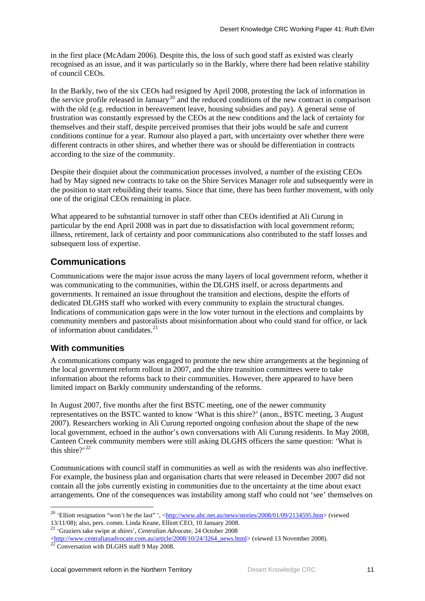in the first place (McAdam 2006). Despite this, the loss of such good staff as existed was clearly recognised as an issue, and it was particularly so in the Barkly, where there had been relative stability of council CEOs.

In the Barkly, two of the six CEOs had resigned by April 2008, protesting the lack of information in the service profile released in January<sup>[20](#page-18-0)</sup> and the reduced conditions of the new contract in comparison with the old (e.g. reduction in bereavement leave, housing subsidies and pay). A general sense of frustration was constantly expressed by the CEOs at the new conditions and the lack of certainty for themselves and their staff, despite perceived promises that their jobs would be safe and current conditions continue for a year. Rumour also played a part, with uncertainty over whether there were different contracts in other shires, and whether there was or should be differentiation in contracts according to the size of the community.

Despite their disquiet about the communication processes involved, a number of the existing CEOs had by May signed new contracts to take on the Shire Services Manager role and subsequently were in the position to start rebuilding their teams. Since that time, there has been further movement, with only one of the original CEOs remaining in place.

What appeared to be substantial turnover in staff other than CEOs identified at Ali Curung in particular by the end April 2008 was in part due to dissatisfaction with local government reform; illness, retirement, lack of certainty and poor communications also contributed to the staff losses and subsequent loss of expertise.

### **Communications**

Communications were the major issue across the many layers of local government reform, whether it was communicating to the communities, within the DLGHS itself, or across departments and governments. It remained an issue throughout the transition and elections, despite the efforts of dedicated DLGHS staff who worked with every community to explain the structural changes. Indications of communication gaps were in the low voter turnout in the elections and complaints by community members and pastoralists about misinformation about who could stand for office, or lack of information about candidates.<sup>[21](#page-18-1)</sup>

#### **With communities**

<u>.</u>

A communications company was engaged to promote the new shire arrangements at the beginning of the local government reform rollout in 2007, and the shire transition committees were to take information about the reforms back to their communities. However, there appeared to have been limited impact on Barkly community understanding of the reforms.

In August 2007, five months after the first BSTC meeting, one of the newer community representatives on the BSTC wanted to know 'What is this shire?' (anon., BSTC meeting, 3 August 2007). Researchers working in Ali Curung reported ongoing confusion about the shape of the new local government, echoed in the author's own conversations with Ali Curung residents. In May 2008, Canteen Creek community members were still asking DLGHS officers the same question: 'What is this shire?'<sup>[22](#page-18-2)</sup>

Communications with council staff in communities as well as with the residents was also ineffective. For example, the business plan and organisation charts that were released in December 2007 did not contain all the jobs currently existing in communities due to the uncertainty at the time about exact arrangements. One of the consequences was instability among staff who could not 'see' themselves on

<span id="page-18-0"></span><sup>&</sup>lt;sup>20</sup> 'Elliott resignation "won't be the last" ', [<http://www.abc.net.au/news/stories/2008/01/09/2134595.htm>](http://www.abc.net.au/news/stories/2008/01/09/2134595.htm) (viewed 13/11/08); also, pers. comm. Linda Keane, Elliott CEO, 10 January 2008.

<sup>21</sup> 'Graziers take swipe at shires', *Centralian Advocate*, 24 October 2008

<span id="page-18-1"></span>[<sup>&</sup>lt;http://www.centralianadvocate.com.au/article/2008/10/24/3264\\_news.html>](http://www.centralianadvocate.com.au/article/2008/10/24/3264_news.html) (viewed 13 November 2008). <sup>22</sup> Conversation with DLGHS staff 9 May 2008.

<span id="page-18-2"></span>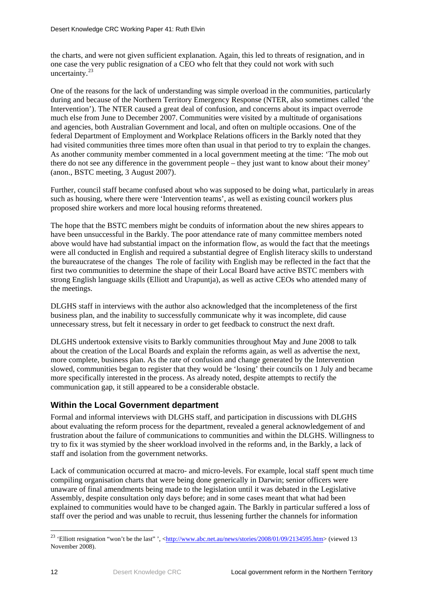the charts, and were not given sufficient explanation. Again, this led to threats of resignation, and in one case the very public resignation of a CEO who felt that they could not work with such uncertainty. $^{23}$  $^{23}$  $^{23}$ 

One of the reasons for the lack of understanding was simple overload in the communities, particularly during and because of the Northern Territory Emergency Response (NTER, also sometimes called 'the Intervention'). The NTER caused a great deal of confusion, and concerns about its impact overrode much else from June to December 2007. Communities were visited by a multitude of organisations and agencies, both Australian Government and local, and often on multiple occasions. One of the federal Department of Employment and Workplace Relations officers in the Barkly noted that they had visited communities three times more often than usual in that period to try to explain the changes. As another community member commented in a local government meeting at the time: 'The mob out there do not see any difference in the government people – they just want to know about their money' (anon., BSTC meeting, 3 August 2007).

Further, council staff became confused about who was supposed to be doing what, particularly in areas such as housing, where there were 'Intervention teams', as well as existing council workers plus proposed shire workers and more local housing reforms threatened.

The hope that the BSTC members might be conduits of information about the new shires appears to have been unsuccessful in the Barkly. The poor attendance rate of many committee members noted above would have had substantial impact on the information flow, as would the fact that the meetings were all conducted in English and required a substantial degree of English literacy skills to understand the bureaucratese of the changes The role of facility with English may be reflected in the fact that the first two communities to determine the shape of their Local Board have active BSTC members with strong English language skills (Elliott and Urapuntja), as well as active CEOs who attended many of the meetings.

DLGHS staff in interviews with the author also acknowledged that the incompleteness of the first business plan, and the inability to successfully communicate why it was incomplete, did cause unnecessary stress, but felt it necessary in order to get feedback to construct the next draft.

DLGHS undertook extensive visits to Barkly communities throughout May and June 2008 to talk about the creation of the Local Boards and explain the reforms again, as well as advertise the next, more complete, business plan. As the rate of confusion and change generated by the Intervention slowed, communities began to register that they would be 'losing' their councils on 1 July and became more specifically interested in the process. As already noted, despite attempts to rectify the communication gap, it still appeared to be a considerable obstacle.

#### **Within the Local Government department**

Formal and informal interviews with DLGHS staff, and participation in discussions with DLGHS about evaluating the reform process for the department, revealed a general acknowledgement of and frustration about the failure of communications to communities and within the DLGHS. Willingness to try to fix it was stymied by the sheer workload involved in the reforms and, in the Barkly, a lack of staff and isolation from the government networks.

Lack of communication occurred at macro- and micro-levels. For example, local staff spent much time compiling organisation charts that were being done generically in Darwin; senior officers were unaware of final amendments being made to the legislation until it was debated in the Legislative Assembly, despite consultation only days before; and in some cases meant that what had been explained to communities would have to be changed again. The Barkly in particular suffered a loss of staff over the period and was unable to recruit, thus lessening further the channels for information

<u>.</u>

<span id="page-19-0"></span><sup>&</sup>lt;sup>23</sup> 'Elliott resignation "won't be the last" ', < $\frac{http://www.abc.net.au/news/stories/2008/01/09/2134595.htm}{http://www.abc.net.au/news/stories/2008/01/09/2134595.htm}$  (viewed 13 November 2008).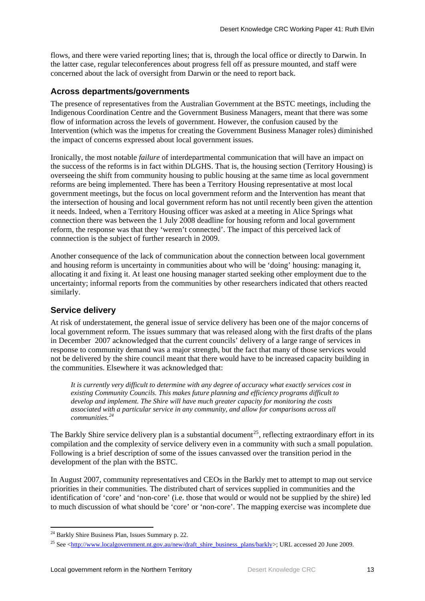flows, and there were varied reporting lines; that is, through the local office or directly to Darwin. In the latter case, regular teleconferences about progress fell off as pressure mounted, and staff were concerned about the lack of oversight from Darwin or the need to report back.

#### **Across departments/governments**

The presence of representatives from the Australian Government at the BSTC meetings, including the Indigenous Coordination Centre and the Government Business Managers, meant that there was some flow of information across the levels of government. However, the confusion caused by the Intervention (which was the impetus for creating the Government Business Manager roles) diminished the impact of concerns expressed about local government issues.

Ironically, the most notable *failure* of interdepartmental communication that will have an impact on the success of the reforms is in fact within DLGHS. That is, the housing section (Territory Housing) is overseeing the shift from community housing to public housing at the same time as local government reforms are being implemented. There has been a Territory Housing representative at most local government meetings, but the focus on local government reform and the Intervention has meant that the intersection of housing and local government reform has not until recently been given the attention it needs. Indeed, when a Territory Housing officer was asked at a meeting in Alice Springs what connection there was between the 1 July 2008 deadline for housing reform and local government reform, the response was that they 'weren't connected'. The impact of this perceived lack of connnection is the subject of further research in 2009.

Another consequence of the lack of communication about the connection between local government and housing reform is uncertainty in communities about who will be 'doing' housing: managing it, allocating it and fixing it. At least one housing manager started seeking other employment due to the uncertainty; informal reports from the communities by other researchers indicated that others reacted similarly.

#### **Service delivery**

At risk of understatement, the general issue of service delivery has been one of the major concerns of local government reform. The issues summary that was released along with the first drafts of the plans in December 2007 acknowledged that the current councils' delivery of a large range of services in response to community demand was a major strength, but the fact that many of those services would not be delivered by the shire council meant that there would have to be increased capacity building in the communities. Elsewhere it was acknowledged that:

*It is currently very difficult to determine with any degree of accuracy what exactly services cost in existing Community Councils. This makes future planning and efficiency programs difficult to develop and implement. The Shire will have much greater capacity for monitoring the costs associated with a particular service in any community, and allow for comparisons across all communities.[24](#page-20-0)*

The Barkly Shire service delivery plan is a substantial document<sup>[25](#page-20-1)</sup>, reflecting extraordinary effort in its compilation and the complexity of service delivery even in a community with such a small population. Following is a brief description of some of the issues canvassed over the transition period in the development of the plan with the BSTC.

In August 2007, community representatives and CEOs in the Barkly met to attempt to map out service priorities in their communities. The distributed chart of services supplied in communities and the identification of 'core' and 'non-core' (i.e. those that would or would not be supplied by the shire) led to much discussion of what should be 'core' or 'non-core'. The mapping exercise was incomplete due

 $24$  Barkly Shire Business Plan, Issues Summary p. 22.

<span id="page-20-1"></span><span id="page-20-0"></span><sup>&</sup>lt;sup>25</sup> See <http://www<u>.localgovernment.nt.gov.au/new/draft\_shire\_business\_plans/barkly</u>>; URL accessed 20 June 2009.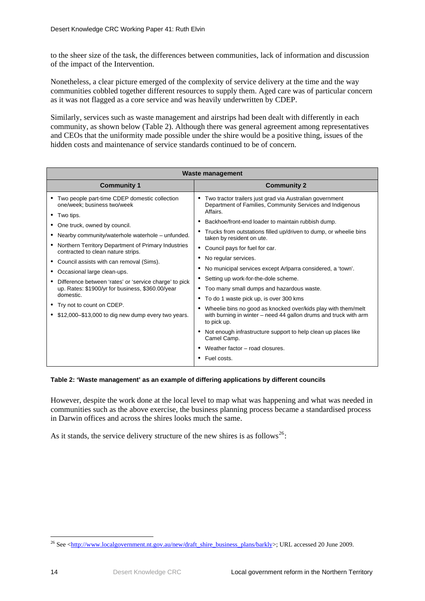<span id="page-21-0"></span>to the sheer size of the task, the differences between communities, lack of information and discussion of the impact of the Intervention.

Nonetheless, a clear picture emerged of the complexity of service delivery at the time and the way communities cobbled together different resources to supply them. Aged care was of particular concern as it was not flagged as a core service and was heavily underwritten by CDEP.

Similarly, services such as waste management and airstrips had been dealt with differently in each community, as shown below (Table 2). Although there was general agreement among representatives and CEOs that the uniformity made possible under the shire would be a positive thing, issues of the hidden costs and maintenance of service standards continued to be of concern.

| <b>Waste management</b>                                                                                                                                                                                                                                                                                                                                                                                                                                                                                                                                                   |                                                                                                                                                                                                                                                                                                                                                                                                                                                                                                                                                                                                                                                                                                                                                                                                                                                      |  |  |  |
|---------------------------------------------------------------------------------------------------------------------------------------------------------------------------------------------------------------------------------------------------------------------------------------------------------------------------------------------------------------------------------------------------------------------------------------------------------------------------------------------------------------------------------------------------------------------------|------------------------------------------------------------------------------------------------------------------------------------------------------------------------------------------------------------------------------------------------------------------------------------------------------------------------------------------------------------------------------------------------------------------------------------------------------------------------------------------------------------------------------------------------------------------------------------------------------------------------------------------------------------------------------------------------------------------------------------------------------------------------------------------------------------------------------------------------------|--|--|--|
| <b>Community 1</b>                                                                                                                                                                                                                                                                                                                                                                                                                                                                                                                                                        | <b>Community 2</b>                                                                                                                                                                                                                                                                                                                                                                                                                                                                                                                                                                                                                                                                                                                                                                                                                                   |  |  |  |
| Two people part-time CDEP domestic collection<br>one/week; business two/week<br>• Two tips.<br>• One truck, owned by council.<br>Nearby community/waterhole waterhole – unfunded.<br>Northern Territory Department of Primary Industries<br>contracted to clean nature strips.<br>Council assists with can removal (Sims).<br>Occasional large clean-ups.<br>Difference between 'rates' or 'service charge' to pick<br>up. Rates: \$1900/yr for business, \$360.00/year<br>domestic.<br>• Try not to count on CDEP.<br>\$12,000–\$13,000 to dig new dump every two years. | Two tractor trailers just grad via Australian government<br>٠<br>Department of Families, Community Services and Indigenous<br>Affairs.<br>Backhoe/front-end loader to maintain rubbish dump.<br>Trucks from outstations filled up/driven to dump, or wheelie bins<br>٠<br>taken by resident on ute.<br>Council pays for fuel for car.<br>٠<br>No regular services.<br>٠<br>No municipal services except Arlparra considered, a 'town'.<br>Setting up work-for-the-dole scheme.<br>Too many small dumps and hazardous waste.<br>٠<br>• To do 1 waste pick up, is over 300 kms<br>Wheelie bins no good as knocked over/kids play with them/melt<br>with burning in winter - need 44 gallon drums and truck with arm<br>to pick up.<br>Not enough infrastructure support to help clean up places like<br>Camel Camp.<br>Weather factor – road closures. |  |  |  |
|                                                                                                                                                                                                                                                                                                                                                                                                                                                                                                                                                                           | Fuel costs.                                                                                                                                                                                                                                                                                                                                                                                                                                                                                                                                                                                                                                                                                                                                                                                                                                          |  |  |  |

#### **Table 2: 'Waste management' as an example of differing applications by different councils**

However, despite the work done at the local level to map what was happening and what was needed in communities such as the above exercise, the business planning process became a standardised process in Darwin offices and across the shires looks much the same.

As it stands, the service delivery structure of the new shires is as follows<sup>[26](#page-21-1)</sup>:

<span id="page-21-1"></span><sup>1</sup> <sup>26</sup> See [<http://www.localgovernment.nt.gov.au/new/draft\\_shire\\_business\\_plans/barkly>](http://www.localgovernment.nt.gov.au/new/draft_shire_business_plans/barkly); URL accessed 20 June 2009.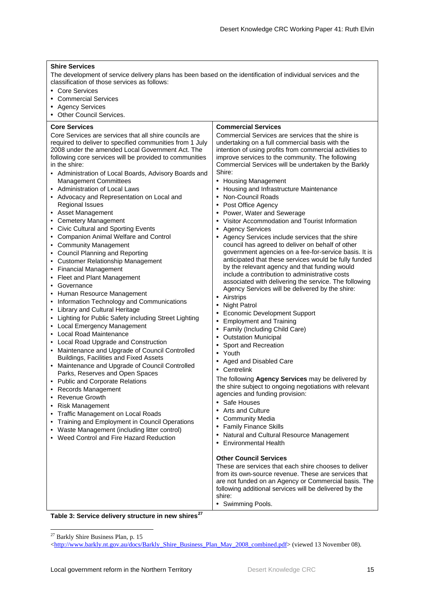#### <span id="page-22-0"></span>**Shire Services**

The development of service delivery plans has been based on the identification of individual services and the classification of those services as follows:

- Core Services
- Commercial Services
- Agency Services
- Other Council Services.

#### **Core Services**

Core Services are services that all shire councils are required to deliver to specified communities from 1 July 2008 under the amended Local Government Act. The following core services will be provided to communities in the shire:

- Administration of Local Boards, Advisory Boards and Management Committees
- Administration of Local Laws
- Advocacy and Representation on Local and Regional Issues
- Asset Management
- Cemetery Management
- Civic Cultural and Sporting Events
- Companion Animal Welfare and Control
- Community Management
- Council Planning and Reporting
- Customer Relationship Management
- Financial Management
- Fleet and Plant Management
- Governance
- Human Resource Management
- Information Technology and Communications
- Library and Cultural Heritage
- Lighting for Public Safety including Street Lighting
- Local Emergency Management
- Local Road Maintenance
- Local Road Upgrade and Construction
- Maintenance and Upgrade of Council Controlled Buildings, Facilities and Fixed Assets
- Maintenance and Upgrade of Council Controlled Parks, Reserves and Open Spaces
- Public and Corporate Relations
- Records Management
- Revenue Growth
- Risk Management
- Traffic Management on Local Roads
- Training and Employment in Council Operations
- Waste Management (including litter control)
- Weed Control and Fire Hazard Reduction

#### **Commercial Services**

Commercial Services are services that the shire is undertaking on a full commercial basis with the intention of using profits from commercial activities to improve services to the community. The following Commercial Services will be undertaken by the Barkly Shire:

- Housing Management
- Housing and Infrastructure Maintenance
- Non-Council Roads
- Post Office Agency
- Power, Water and Sewerage
- Visitor Accommodation and Tourist Information
- Agency Services
- Agency Services include services that the shire council has agreed to deliver on behalf of other government agencies on a fee-for-service basis. It is anticipated that these services would be fully funded by the relevant agency and that funding would include a contribution to administrative costs associated with delivering the service. The following Agency Services will be delivered by the shire:
- **Airstrips**
- Night Patrol
- Economic Development Support
- Employment and Training
- Family (Including Child Care)
- Outstation Municipal
- Sport and Recreation
- Youth
- Aged and Disabled Care
- Centrelink

The following **Agency Services** may be delivered by the shire subject to ongoing negotiations with relevant agencies and funding provision:

- Safe Houses
- Arts and Culture
- Community Media
- Family Finance Skills
- Natural and Cultural Resource Management
- Environmental Health

#### **Other Council Services**

These are services that each shire chooses to deliver from its own-source revenue. These are services that are not funded on an Agency or Commercial basis. The following additional services will be delivered by the shire:

• Swimming Pools.

**Table 3: Service delivery structure in new shires[27](#page-22-1)**

<span id="page-22-1"></span><sup>27</sup> Barkly Shire Business Plan, p. 15

<sup>&</sup>lt;[http://www.barkly.nt.gov.au/docs/Barkly\\_Shire\\_Business\\_Plan\\_May\\_2008\\_combined.pdf](http://www.barkly.nt.gov.au/docs/Barkly_Shire_Business_Plan_May_2008_combined.pdf)> (viewed 13 November 08).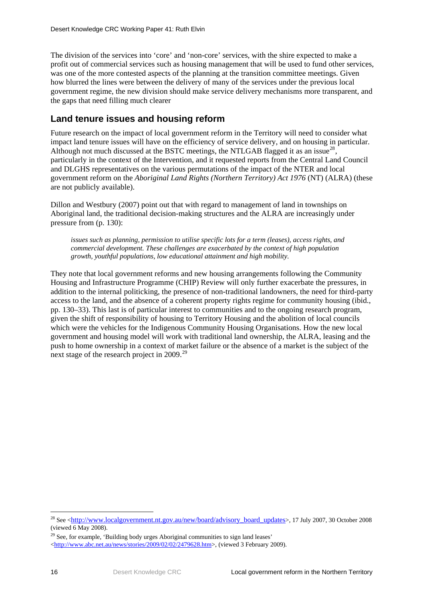The division of the services into 'core' and 'non-core' services, with the shire expected to make a profit out of commercial services such as housing management that will be used to fund other services, was one of the more contested aspects of the planning at the transition committee meetings. Given how blurred the lines were between the delivery of many of the services under the previous local government regime, the new division should make service delivery mechanisms more transparent, and the gaps that need filling much clearer

### **Land tenure issues and housing reform**

Future research on the impact of local government reform in the Territory will need to consider what impact land tenure issues will have on the efficiency of service delivery, and on housing in particular. Although not much discussed at the BSTC meetings, the NTLGAB flagged it as an issue $^{28}$  $^{28}$  $^{28}$ , particularly in the context of the Intervention, and it requested reports from the Central Land Council and DLGHS representatives on the various permutations of the impact of the NTER and local government reform on the *Aboriginal Land Rights (Northern Territory) Act 1976* (NT) (ALRA) (these are not publicly available).

Dillon and Westbury (2007) point out that with regard to management of land in townships on Aboriginal land, the traditional decision-making structures and the ALRA are increasingly under pressure from (p. 130):

*issues such as planning, permission to utilise specific lots for a term (leases), access rights, and commercial development. These challenges are exacerbated by the context of high population growth, youthful populations, low educational attainment and high mobility.* 

They note that local government reforms and new housing arrangements following the Community Housing and Infrastructure Programme (CHIP) Review will only further exacerbate the pressures, in addition to the internal politicking, the presence of non-traditional landowners, the need for third-party access to the land, and the absence of a coherent property rights regime for community housing (ibid., pp. 130–33). This last is of particular interest to communities and to the ongoing research program, given the shift of responsibility of housing to Territory Housing and the abolition of local councils which were the vehicles for the Indigenous Community Housing Organisations. How the new local government and housing model will work with traditional land ownership, the ALRA, leasing and the push to home ownership in a context of market failure or the absence of a market is the subject of the next stage of the research project in 2009.<sup>[29](#page-23-1)</sup>

<u>.</u>

<span id="page-23-0"></span><sup>&</sup>lt;sup>28</sup> See [<http://www.localgovernment.nt.gov.au/new/board/advisory\\_board\\_updates>](http://www.localgovernment.nt.gov.au/new/board/advisory_board_updates), 17 July 2007, 30 October 2008 (viewed  $6$  May 2008).

<span id="page-23-1"></span><sup>&</sup>lt;sup>29</sup> See, for example, 'Building body urges Aboriginal communities to sign land leases'

<sup>&</sup>lt;[http://www.abc.net.au/news/stories/2009/02/02/2479628.htm>](http://www.abc.net.au/news/stories/2009/02/02/2479628.htm), (viewed 3 February 2009).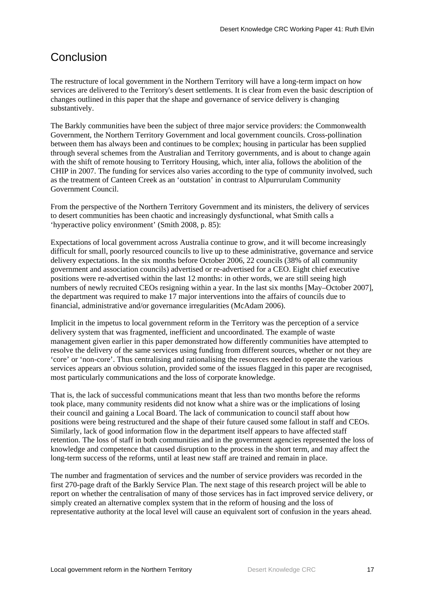### <span id="page-24-0"></span>**Conclusion**

The restructure of local government in the Northern Territory will have a long-term impact on how services are delivered to the Territory's desert settlements. It is clear from even the basic description of changes outlined in this paper that the shape and governance of service delivery is changing substantively.

The Barkly communities have been the subject of three major service providers: the Commonwealth Government, the Northern Territory Government and local government councils. Cross-pollination between them has always been and continues to be complex; housing in particular has been supplied through several schemes from the Australian and Territory governments, and is about to change again with the shift of remote housing to Territory Housing, which, inter alia, follows the abolition of the CHIP in 2007. The funding for services also varies according to the type of community involved, such as the treatment of Canteen Creek as an 'outstation' in contrast to Alpurrurulam Community Government Council.

From the perspective of the Northern Territory Government and its ministers, the delivery of services to desert communities has been chaotic and increasingly dysfunctional, what Smith calls a 'hyperactive policy environment' (Smith 2008, p. 85):

Expectations of local government across Australia continue to grow, and it will become increasingly difficult for small, poorly resourced councils to live up to these administrative, governance and service delivery expectations. In the six months before October 2006, 22 councils (38% of all community government and association councils) advertised or re-advertised for a CEO. Eight chief executive positions were re-advertised within the last 12 months: in other words, we are still seeing high numbers of newly recruited CEOs resigning within a year. In the last six months [May–October 2007], the department was required to make 17 major interventions into the affairs of councils due to financial, administrative and/or governance irregularities (McAdam 2006).

Implicit in the impetus to local government reform in the Territory was the perception of a service delivery system that was fragmented, inefficient and uncoordinated. The example of waste management given earlier in this paper demonstrated how differently communities have attempted to resolve the delivery of the same services using funding from different sources, whether or not they are 'core' or 'non-core'. Thus centralising and rationalising the resources needed to operate the various services appears an obvious solution, provided some of the issues flagged in this paper are recognised, most particularly communications and the loss of corporate knowledge.

That is, the lack of successful communications meant that less than two months before the reforms took place, many community residents did not know what a shire was or the implications of losing their council and gaining a Local Board. The lack of communication to council staff about how positions were being restructured and the shape of their future caused some fallout in staff and CEOs. Similarly, lack of good information flow in the department itself appears to have affected staff retention. The loss of staff in both communities and in the government agencies represented the loss of knowledge and competence that caused disruption to the process in the short term, and may affect the long-term success of the reforms, until at least new staff are trained and remain in place.

The number and fragmentation of services and the number of service providers was recorded in the first 270-page draft of the Barkly Service Plan. The next stage of this research project will be able to report on whether the centralisation of many of those services has in fact improved service delivery, or simply created an alternative complex system that in the reform of housing and the loss of representative authority at the local level will cause an equivalent sort of confusion in the years ahead.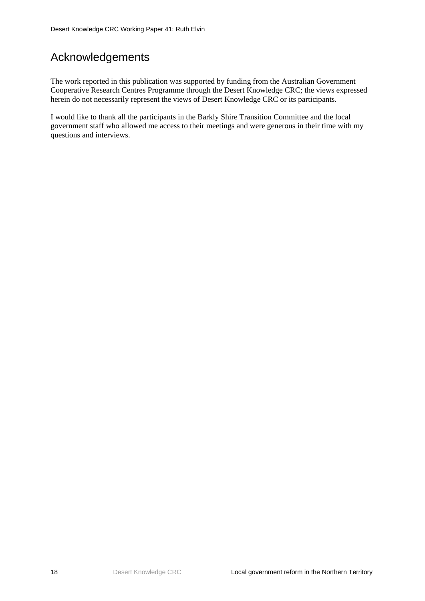## <span id="page-25-0"></span>Acknowledgements

The work reported in this publication was supported by funding from the Australian Government Cooperative Research Centres Programme through the Desert Knowledge CRC; the views expressed herein do not necessarily represent the views of Desert Knowledge CRC or its participants.

I would like to thank all the participants in the Barkly Shire Transition Committee and the local government staff who allowed me access to their meetings and were generous in their time with my questions and interviews.